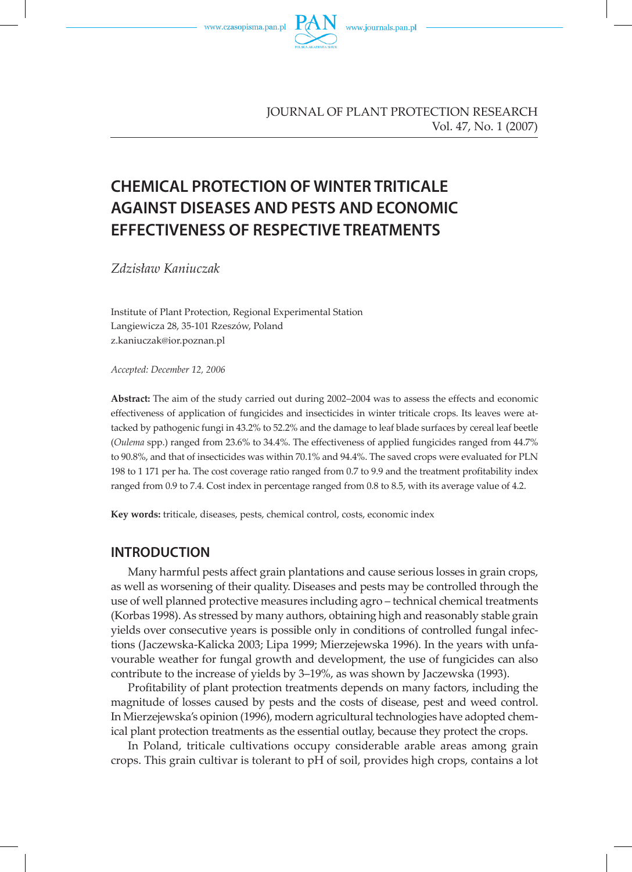

JOURNAL OF PLANT PROTECTION RESEARCH Vol. 47, No. 1 (2007)

# **CHEMICAL PROTECTION OF WINTER TRITICALE AGAINST DISEASES AND PESTS AND ECONOMIC EFFECTIVENESS OF RESPECTIVE TREATMENTS**

*Zdzisław Kaniuczak*

Institute of Plant Protection, Regional Experimental Station Langiewicza 28, 35-101 Rzeszów, Poland z.kaniuczak@ior.poznan.pl

*Accepted: December 12, 2006*

**Abstract:** The aim of the study carried out during 2002–2004 was to assess the effects and economic effectiveness of application of fungicides and insecticides in winter triticale crops. Its leaves were attacked by pathogenic fungi in 43.2% to 52.2% and the damage to leaf blade surfaces by cereal leaf beetle (*Oulema* spp.) ranged from 23.6% to 34.4%. The effectiveness of applied fungicides ranged from 44.7% to 90.8%, and that of insecticides was within 70.1% and 94.4%. The saved crops were evaluated for PLN 198 to 1 171 per ha. The cost coverage ratio ranged from 0.7 to 9.9 and the treatment profitability index ranged from 0.9 to 7.4. Cost index in percentage ranged from 0.8 to 8.5, with its average value of 4.2.

**Key words:** triticale, diseases, pests, chemical control, costs, economic index

### **INTRODUCTION**

Many harmful pests affect grain plantations and cause serious losses in grain crops, as well as worsening of their quality. Diseases and pests may be controlled through the use of well planned protective measures including agro – technical chemical treatments (Korbas 1998). As stressed by many authors, obtaining high and reasonably stable grain yields over consecutive years is possible only in conditions of controlled fungal infections (Jaczewska-Kalicka 2003; Lipa 1999; Mierzejewska 1996). In the years with unfavourable weather for fungal growth and development, the use of fungicides can also contribute to the increase of yields by 3–19%, as was shown by Jaczewska (1993).

Profitability of plant protection treatments depends on many factors, including the magnitude of losses caused by pests and the costs of disease, pest and weed control. In Mierzejewska's opinion (1996), modern agricultural technologies have adopted chemical plant protection treatments as the essential outlay, because they protect the crops.

In Poland, triticale cultivations occupy considerable arable areas among grain crops. This grain cultivar is tolerant to pH of soil, provides high crops, contains a lot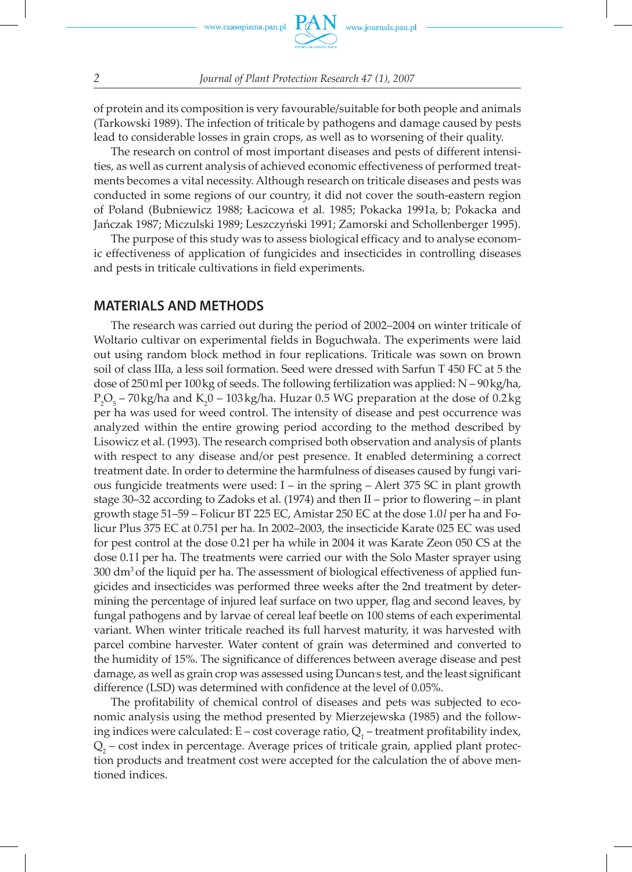of protein and its composition is very favourable/suitable for both people and animals (Tarkowski 1989). The infection of triticale by pathogens and damage caused by pests lead to considerable losses in grain crops, as well as to worsening of their quality.

The research on control of most important diseases and pests of different intensities, as well as current analysis of achieved economic effectiveness of performed treatments becomes a vital necessity. Although research on triticale diseases and pests was conducted in some regions of our country, it did not cover the south-eastern region of Poland (Bubniewicz 1988; Łacicowa et al. 1985; Pokacka 1991a, b; Pokacka and Jańczak 1987; Miczulski 1989; Leszczyński 1991; Zamorski and Schollenberger 1995).

The purpose of this study was to assess biological efficacy and to analyse economic effectiveness of application of fungicides and insecticides in controlling diseases and pests in triticale cultivations in field experiments.

### **MATERIALS AND METHODS**

The research was carried out during the period of 2002–2004 on winter triticale of Woltario cultivar on experimental fields in Boguchwała. The experiments were laid out using random block method in four replications. Triticale was sown on brown soil of class IIIa, a less soil formation. Seed were dressed with Sarfun T 450 FC at 5 the dose of 250 ml per 100 kg of seeds. The following fertilization was applied:  $N - 90$  kg/ha,  $P_2O_5$  – 70 kg/ha and K<sub>2</sub>0 – 103 kg/ha. Huzar 0.5 WG preparation at the dose of 0.2 kg per ha was used for weed control. The intensity of disease and pest occurrence was analyzed within the entire growing period according to the method described by Lisowicz et al. (1993). The research comprised both observation and analysis of plants with respect to any disease and/or pest presence. It enabled determining a correct treatment date. In order to determine the harmfulness of diseases caused by fungi various fungicide treatments were used:  $I$  – in the spring – Alert 375 SC in plant growth stage 30–32 according to Zadoks et al. (1974) and then II – prior to flowering – in plant growth stage 51–59 – Folicur BT 225 EC, Amistar 250 EC at the dose 1.0 *l* per ha and Folicur Plus 375 EC at 0.75l per ha. In 2002–2003, the insecticide Karate 025 EC was used for pest control at the dose 0.2 l per ha while in 2004 it was Karate Zeon 050 CS at the dose 0.1 l per ha. The treatments were carried our with the Solo Master sprayer using  $300 \text{ dm}^3$  of the liquid per ha. The assessment of biological effectiveness of applied fungicides and insecticides was performed three weeks after the 2nd treatment by determining the percentage of injured leaf surface on two upper, flag and second leaves, by fungal pathogens and by larvae of cereal leaf beetle on 100 stems of each experimental variant. When winter triticale reached its full harvest maturity, it was harvested with parcel combine harvester. Water content of grain was determined and converted to the humidity of 15%. The significance of differences between average disease and pest damage, as well as grain crop was assessed using Duncans test, and the least significant difference (LSD) was determined with confidence at the level of 0.05%.

The profitability of chemical control of diseases and pets was subjected to economic analysis using the method presented by Mierzejewska (1985) and the following indices were calculated: E – cost coverage ratio,  $Q_i$  – treatment profitability index,  $Q_{2}$  – cost index in percentage. Average prices of triticale grain, applied plant protection products and treatment cost were accepted for the calculation the of above mentioned indices.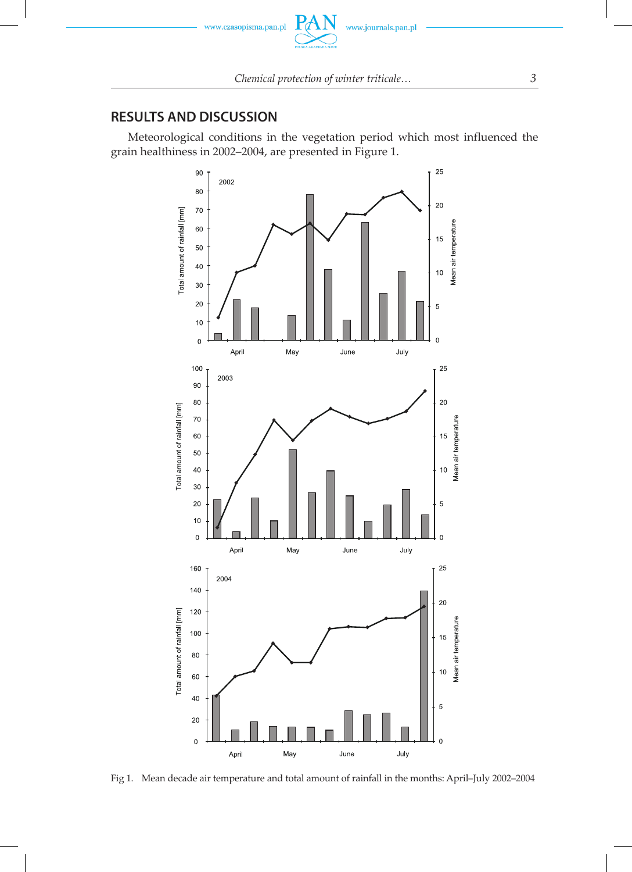

# **RESULTS AND DISCUSSION**

Meteorological conditions in the vegetation period which most influenced the grain healthiness in 2002–2004, are presented in Figure 1.



Fig 1. Mean decade air temperature and total amount of rainfall in the months: April–July 2002–2004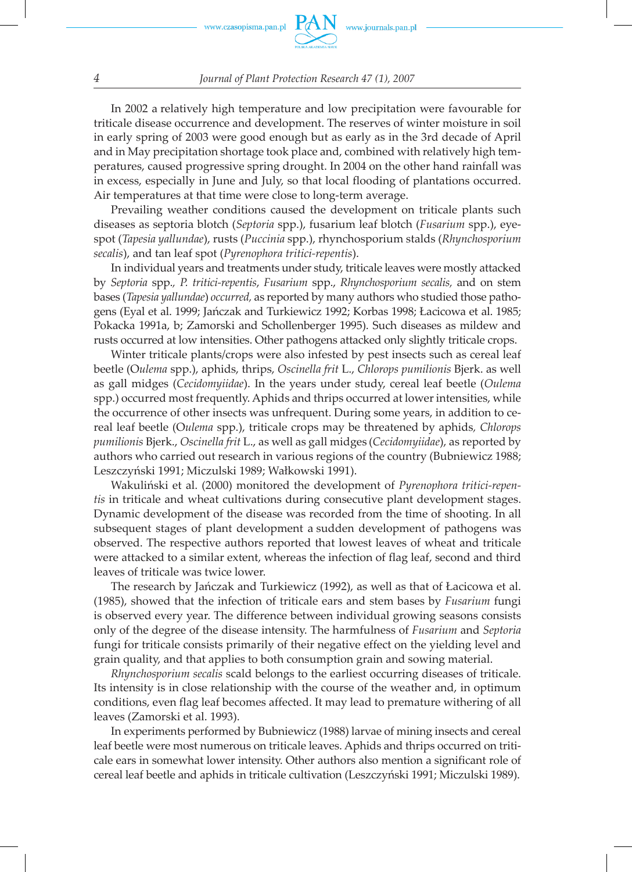

#### *4 Journal of Plant Protection Research 47 (1), 2007*

In 2002 a relatively high temperature and low precipitation were favourable for triticale disease occurrence and development. The reserves of winter moisture in soil in early spring of 2003 were good enough but as early as in the 3rd decade of April and in May precipitation shortage took place and, combined with relatively high temperatures, caused progressive spring drought. In 2004 on the other hand rainfall was in excess, especially in June and July, so that local flooding of plantations occurred. Air temperatures at that time were close to long-term average.

Prevailing weather conditions caused the development on triticale plants such diseases as septoria blotch (*Septoria* spp.), fusarium leaf blotch (*Fusarium* spp.), eyespot (*Tapesia yallundae*), rusts (*Puccinia* spp.), rhynchosporium stalds (*Rhynchosporium secalis*), and tan leaf spot (*Pyrenophora tritici-repentis*).

In individual years and treatments under study, triticale leaves were mostly attacked by *Septoria* spp.*, P. tritici-repentis*, *Fusarium* spp., *Rhynchosporium secalis,* and on stem bases (*Tapesia yallundae*) *occurred,* as reported by many authors who studied those pathogens (Eyal et al. 1999; Jańczak and Turkiewicz 1992; Korbas 1998; Łacicowa et al. 1985; Pokacka 1991a, b; Zamorski and Schollenberger 1995). Such diseases as mildew and rusts occurred at low intensities. Other pathogens attacked only slightly triticale crops.

Winter triticale plants/crops were also infested by pest insects such as cereal leaf beetle (O*ulema* spp.), aphids, thrips, *Oscinella frit* L., *Chlorops pumilionis* Bjerk. as well as gall midges (*Cecidomyiidae*). In the years under study, cereal leaf beetle (*Oulema*  spp.) occurred most frequently. Aphids and thrips occurred at lower intensities, while the occurrence of other insects was unfrequent. During some years, in addition to cereal leaf beetle (O*ulema* spp.), triticale crops may be threatened by aphids*, Chlorops pumilionis* Bjerk., *Oscinella frit* L., as well as gall midges (*Cecidomyiidae*), as reported by authors who carried out research in various regions of the country (Bubniewicz 1988; Leszczyński 1991; Miczulski 1989; Wałkowski 1991).

Wakuliński et al. (2000) monitored the development of *Pyrenophora tritici-repentis* in triticale and wheat cultivations during consecutive plant development stages. Dynamic development of the disease was recorded from the time of shooting. In all subsequent stages of plant development a sudden development of pathogens was observed. The respective authors reported that lowest leaves of wheat and triticale were attacked to a similar extent, whereas the infection of flag leaf, second and third leaves of triticale was twice lower.

The research by Jańczak and Turkiewicz (1992), as well as that of Łacicowa et al. (1985), showed that the infection of triticale ears and stem bases by *Fusarium* fungi is observed every year. The difference between individual growing seasons consists only of the degree of the disease intensity. The harmfulness of *Fusarium* and *Septoria*  fungi for triticale consists primarily of their negative effect on the yielding level and grain quality, and that applies to both consumption grain and sowing material.

*Rhynchosporium secalis* scald belongs to the earliest occurring diseases of triticale. Its intensity is in close relationship with the course of the weather and, in optimum conditions, even flag leaf becomes affected. It may lead to premature withering of all leaves (Zamorski et al. 1993).

In experiments performed by Bubniewicz (1988) larvae of mining insects and cereal leaf beetle were most numerous on triticale leaves. Aphids and thrips occurred on triticale ears in somewhat lower intensity. Other authors also mention a significant role of cereal leaf beetle and aphids in triticale cultivation (Leszczyński 1991; Miczulski 1989).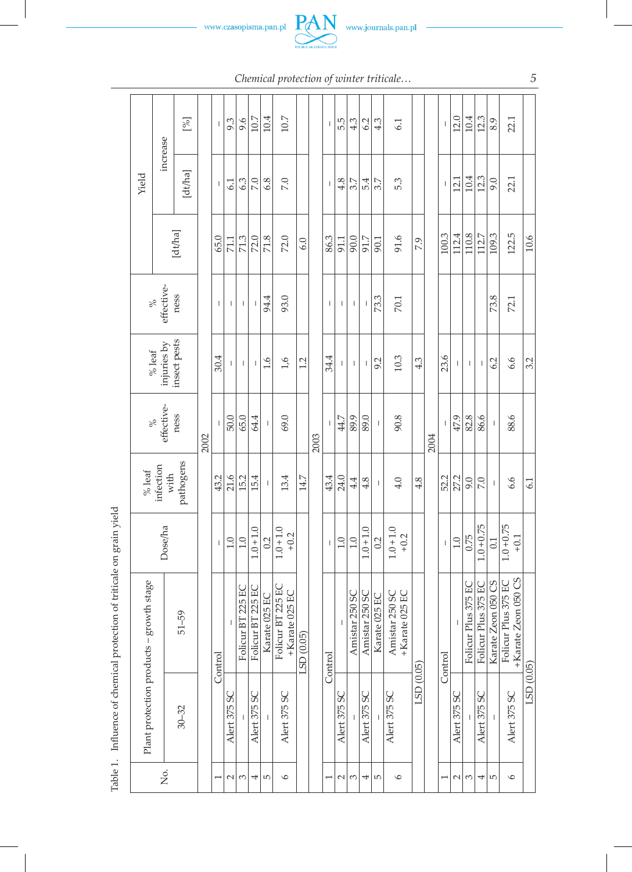



*Chemical protection of winter triticale… 5*

|       |                                             |          | [%]       |      | $\mathbf{I}$                                                                                                                                                                                                                                                                                                                                                                     | 9.3          | 9.6               | 10.7              | 10.4          | 10.7                                |            |         | $\mathbf{I}$   | 5.5                      | 4.3            | 6.2                      | 4.3            | 6.1                              |            |         | $\,$ $\,$                             | 12.0         | 10.4                | 12.3                | 8.9                   | 22.1                                       |            |         |  |
|-------|---------------------------------------------|----------|-----------|------|----------------------------------------------------------------------------------------------------------------------------------------------------------------------------------------------------------------------------------------------------------------------------------------------------------------------------------------------------------------------------------|--------------|-------------------|-------------------|---------------|-------------------------------------|------------|---------|----------------|--------------------------|----------------|--------------------------|----------------|----------------------------------|------------|---------|---------------------------------------|--------------|---------------------|---------------------|-----------------------|--------------------------------------------|------------|---------|--|
| Yield |                                             | increase | [dt/ha]   |      | $\overline{1}$                                                                                                                                                                                                                                                                                                                                                                   | 6.1          | 6.3               | 7.0               | 6.8           | 7.0                                 |            |         | $\mathbf{I}$   | 4.8                      | 3.7            | 5.4                      | 3.7            | 5.3                              |            |         | $\begin{array}{c} \hline \end{array}$ | 12.1         | 10.4                | 12.3                | 9.0                   | 22.1                                       |            |         |  |
|       |                                             | [dt/ha]  |           |      | 65.0                                                                                                                                                                                                                                                                                                                                                                             | 71.1         | 71.3              | 72.0              | 71.8          | 72.0                                | 6.0        |         | 86.3           | 91.1                     | 90.0           | 91.7                     | 90.1           | 91.6                             | 7.9        |         | 100.3                                 | 112.4        | 110.8               | 112.7               | 109.3                 | 122.5                                      | 10.6       |         |  |
|       | effective-<br>ness<br>$\delta$              |          |           |      | $\mathbf{I}$                                                                                                                                                                                                                                                                                                                                                                     | I            | t                 | T                 | 94.4          | 93.0                                |            |         | $\mathbf{I}$   | $\overline{\phantom{a}}$ | $\mathbf{I}$   | $\overline{\phantom{a}}$ | 73.3           | 70.1                             |            |         |                                       |              |                     |                     | 73.8                  | 72.1                                       |            |         |  |
|       | insect pests<br>injuries by<br>$\%$ leaf    |          |           |      | 30.4                                                                                                                                                                                                                                                                                                                                                                             |              | I                 | t                 | т             | 0.6                                 | $1/6$      | 1.2     |                | 34.4                     | $\mathbf{I}$   | $\overline{\phantom{a}}$ | $\overline{1}$ | 9.2                              | 10.3       | 4.3     |                                       | 23.6         | $\mathsf{I}$        | I                   | I                     | 6.2                                        | 6.6        | 3.2     |  |
|       | effective-<br>ness<br>$\%$                  |          |           | 2002 | $\mathbf{L}$                                                                                                                                                                                                                                                                                                                                                                     | 50.0         | 65.0              | 64.4              | $\mathbf{I}$  | 69.0                                |            | 2003    | $\mathbf{I}$   | 44.7                     | 89.9           | 89.0                     | $\mathsf I$    | 90.8                             |            | 2004    | $\overline{1}$                        | 47.9         | 82.8                | 86.6                | $\mathbf{I}$          | 88.6                                       |            |         |  |
|       | pathogens<br>infection<br>$\%$ leaf<br>with |          |           |      | 43.2                                                                                                                                                                                                                                                                                                                                                                             | 21.6         | 15.2              | 15.4              | I             | 13.4                                | 14.7       |         | 43.4           | 24.0                     | 4.4            | 4.8                      | $\mathsf I$    | 4.0                              | 4.8        |         | 52.2                                  | 27.2         | 9.0                 | 7.0                 | T                     | 6.6                                        | 61         |         |  |
|       | <b>Dose/ha</b>                              |          |           |      | $\begin{array}{c} \rule{0pt}{2.5ex} \rule{0pt}{2.5ex} \rule{0pt}{2.5ex} \rule{0pt}{2.5ex} \rule{0pt}{2.5ex} \rule{0pt}{2.5ex} \rule{0pt}{2.5ex} \rule{0pt}{2.5ex} \rule{0pt}{2.5ex} \rule{0pt}{2.5ex} \rule{0pt}{2.5ex} \rule{0pt}{2.5ex} \rule{0pt}{2.5ex} \rule{0pt}{2.5ex} \rule{0pt}{2.5ex} \rule{0pt}{2.5ex} \rule{0pt}{2.5ex} \rule{0pt}{2.5ex} \rule{0pt}{2.5ex} \rule{0$ | 1.0          | 1.0               | $1.0 + 1.0$       | 0.2           | $1.0 + 1.0$<br>$+0.2$               |            |         | $\overline{1}$ | 1.0                      | 1.0            | $1.0 + 1.0$              | 0.2            | $1.0 + 1.0 + 1.0 + 0.2$          |            |         | $\begin{array}{c} \end{array}$        | 1.0          | 0.75                | $1.0 + 0.75$        | 0.1                   | $1.0 + 0.75$<br>$+0.1$                     |            |         |  |
|       | growth stage                                |          | $51 - 59$ |      | Control                                                                                                                                                                                                                                                                                                                                                                          |              | Folicur BT 225 EC | Folicur BT 225 EC | Karate 025 EC | Folicur BT 225 EC<br>+Karate 025 EC | LSD (0.05) |         | Control        |                          | Amistar 250 SC | Amistar 250 SC           | Karate 025 EC  | +Karate 025 EC<br>Amistar 250 SC |            |         |                                       |              | Folicur Plus 375 EC | Folicur Plus 375 EC | Zeon 050 CS<br>Karate | +Karate Zeon 050 CS<br>Folicur Plus 375 EC |            |         |  |
|       | Plant protection products -                 |          | $30 - 32$ |      |                                                                                                                                                                                                                                                                                                                                                                                  | Alert 375 SC |                   | Alert 375 SC      |               | Alert 375 SC                        |            |         |                | Alert 375 SC             |                | Alert 375 SC             |                | Alert 375 SC                     | LSD (0.05) |         | Control                               | Alert 375 SC |                     | Alert 375 SC        | T                     | Alert 375 SC                               | LSD (0.05) |         |  |
|       | Σó                                          |          |           |      |                                                                                                                                                                                                                                                                                                                                                                                  |              |                   | $\sim$            | 3             | 4                                   | LO,        | $\circ$ |                |                          |                | $\sim$                   | 3              | 4                                | 5          | $\circ$ |                                       |              |                     | $\sim$              | S                     | 4                                          | LO         | $\circ$ |  |

Table 1. Influence of chemical protection of triticale on grain yield Table 1. Influence of chemical protection of triticale on grain yield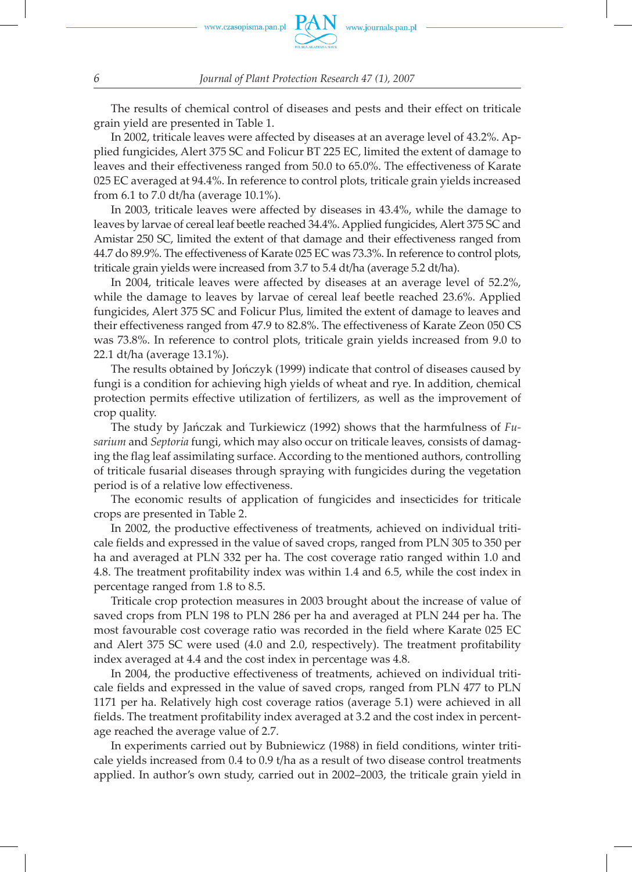

The results of chemical control of diseases and pests and their effect on triticale grain yield are presented in Table 1.

In 2002, triticale leaves were affected by diseases at an average level of 43.2%. Applied fungicides, Alert 375 SC and Folicur BT 225 EC, limited the extent of damage to leaves and their effectiveness ranged from 50.0 to 65.0%. The effectiveness of Karate 025 EC averaged at 94.4%. In reference to control plots, triticale grain yields increased from 6.1 to 7.0 dt/ha (average 10.1%).

In 2003, triticale leaves were affected by diseases in 43.4%, while the damage to leaves by larvae of cereal leaf beetle reached 34.4%. Applied fungicides, Alert 375 SC and Amistar 250 SC, limited the extent of that damage and their effectiveness ranged from 44.7 do 89.9%. The effectiveness of Karate 025 EC was 73.3%. In reference to control plots, triticale grain yields were increased from 3.7 to 5.4 dt/ha (average 5.2 dt/ha).

In 2004, triticale leaves were affected by diseases at an average level of 52.2%, while the damage to leaves by larvae of cereal leaf beetle reached 23.6%. Applied fungicides, Alert 375 SC and Folicur Plus, limited the extent of damage to leaves and their effectiveness ranged from 47.9 to 82.8%. The effectiveness of Karate Zeon 050 CS was 73.8%. In reference to control plots, triticale grain yields increased from 9.0 to 22.1 dt/ha (average 13.1%).

The results obtained by Jończyk (1999) indicate that control of diseases caused by fungi is a condition for achieving high yields of wheat and rye. In addition, chemical protection permits effective utilization of fertilizers, as well as the improvement of crop quality.

The study by Jańczak and Turkiewicz (1992) shows that the harmfulness of *Fusarium* and *Septoria* fungi, which may also occur on triticale leaves, consists of damaging the flag leaf assimilating surface. According to the mentioned authors, controlling of triticale fusarial diseases through spraying with fungicides during the vegetation period is of a relative low effectiveness.

The economic results of application of fungicides and insecticides for triticale crops are presented in Table 2.

In 2002, the productive effectiveness of treatments, achieved on individual triticale fields and expressed in the value of saved crops, ranged from PLN 305 to 350 per ha and averaged at PLN 332 per ha. The cost coverage ratio ranged within 1.0 and 4.8. The treatment profitability index was within 1.4 and 6.5, while the cost index in percentage ranged from 1.8 to 8.5.

Triticale crop protection measures in 2003 brought about the increase of value of saved crops from PLN 198 to PLN 286 per ha and averaged at PLN 244 per ha. The most favourable cost coverage ratio was recorded in the field where Karate 025 EC and Alert 375 SC were used (4.0 and 2.0, respectively). The treatment profitability index averaged at 4.4 and the cost index in percentage was 4.8.

In 2004, the productive effectiveness of treatments, achieved on individual triticale fields and expressed in the value of saved crops, ranged from PLN 477 to PLN 1171 per ha. Relatively high cost coverage ratios (average 5.1) were achieved in all fields. The treatment profitability index averaged at 3.2 and the cost index in percentage reached the average value of 2.7.

In experiments carried out by Bubniewicz (1988) in field conditions, winter triticale yields increased from 0.4 to 0.9 t/ha as a result of two disease control treatments applied. In author's own study, carried out in 2002–2003, the triticale grain yield in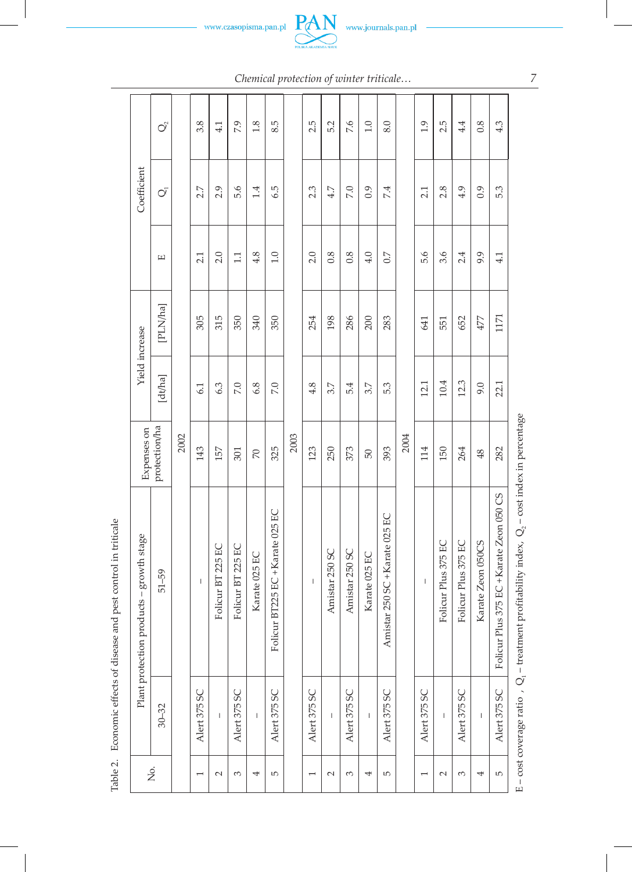www.czasopisma.pan.pl



*Chemical protection of winter triticale…*

|                                             | $\mathcal{O}^\circ$ |      | 3.8<br>2.7<br>2.1<br>305<br>6.1 | 4.1                                                                                                                                                                                                                                                                                                                                                                              | 7.9               | 1.8            | 8.5                              |      | 2.5                                                                                                                                                                                                                                                                                                                                                                              | 5.2            | 7.6            | 1.0            | 8.0                            |      | 1.9                                   | 2.5                 | 4.4                 | 0.8               | 4.3                                      |
|---------------------------------------------|---------------------|------|---------------------------------|----------------------------------------------------------------------------------------------------------------------------------------------------------------------------------------------------------------------------------------------------------------------------------------------------------------------------------------------------------------------------------|-------------------|----------------|----------------------------------|------|----------------------------------------------------------------------------------------------------------------------------------------------------------------------------------------------------------------------------------------------------------------------------------------------------------------------------------------------------------------------------------|----------------|----------------|----------------|--------------------------------|------|---------------------------------------|---------------------|---------------------|-------------------|------------------------------------------|
| Coefficient                                 | $\overline{O}$      |      |                                 | 2.9                                                                                                                                                                                                                                                                                                                                                                              | 5.6               | 1.4            | 6.5<br>4.8<br>1.0<br>340<br>350  |      | 2.3                                                                                                                                                                                                                                                                                                                                                                              | 4.7            | 7.0            | 0.9            | 7.4                            |      | 2.1                                   | 2.8                 | 4.9                 | 0.9               | 5.3                                      |
|                                             | Е                   |      |                                 | 2.0                                                                                                                                                                                                                                                                                                                                                                              | $\Box$            |                |                                  |      | 2.0                                                                                                                                                                                                                                                                                                                                                                              | 0.8            | 0.8            | 4.0            | $\sim$                         |      | 5.6                                   | 3.6                 | 2.4                 | 9.9               | 4.1                                      |
|                                             | [PLN/ha]            |      |                                 | 315                                                                                                                                                                                                                                                                                                                                                                              | 350               |                |                                  |      | 254                                                                                                                                                                                                                                                                                                                                                                              | 198            | 286            | 200            | 283                            |      | 641                                   | 551                 | 652                 | 477               | 1171                                     |
| Yield increase                              | [dt/ha]             |      |                                 | 6.3                                                                                                                                                                                                                                                                                                                                                                              | 7.0               | 6.8            | 7.0                              |      | 4.8                                                                                                                                                                                                                                                                                                                                                                              | 3.7            | 5.4            | 3.7            | 5.3                            |      | 12.1                                  | 10.4                | 12.3                | 9.0               | 22.1                                     |
| Expenses on                                 | protection/ha       | 2002 | 143                             | 157                                                                                                                                                                                                                                                                                                                                                                              | 301               | $\overline{2}$ | 325                              | 2003 | 123                                                                                                                                                                                                                                                                                                                                                                              | 250            | 373            | 50             | 393                            | 2004 | 114                                   | 150                 | 264                 | 48                | 282                                      |
| products - growth stage<br>Plant protection | $51 - 59$           |      | $\begin{array}{c} \end{array}$  | Folicur BT 225 EC                                                                                                                                                                                                                                                                                                                                                                | Folicur BT 225 EC | Karate 025 EC  | Folicur BT225 EC + Karate 025 EC |      | $\begin{array}{c} \rule{0pt}{2.5ex} \rule{0pt}{2.5ex} \rule{0pt}{2.5ex} \rule{0pt}{2.5ex} \rule{0pt}{2.5ex} \rule{0pt}{2.5ex} \rule{0pt}{2.5ex} \rule{0pt}{2.5ex} \rule{0pt}{2.5ex} \rule{0pt}{2.5ex} \rule{0pt}{2.5ex} \rule{0pt}{2.5ex} \rule{0pt}{2.5ex} \rule{0pt}{2.5ex} \rule{0pt}{2.5ex} \rule{0pt}{2.5ex} \rule{0pt}{2.5ex} \rule{0pt}{2.5ex} \rule{0pt}{2.5ex} \rule{0$ | Amistar 250 SC | Amistar 250 SC | Karate 025 EC  | Amistar 250 SC + Karate 025 EC |      | $\begin{array}{c} \hline \end{array}$ | Folicur Plus 375 EC | Folicur Plus 375 EC | Karate Zeon 050CS | Folicur Plus 375 EC + Karate Zeon 050 CS |
|                                             | $30 - 32$           |      | Alert 375 SC                    | $\begin{array}{c} \rule{0pt}{2.5ex} \rule{0pt}{2.5ex} \rule{0pt}{2.5ex} \rule{0pt}{2.5ex} \rule{0pt}{2.5ex} \rule{0pt}{2.5ex} \rule{0pt}{2.5ex} \rule{0pt}{2.5ex} \rule{0pt}{2.5ex} \rule{0pt}{2.5ex} \rule{0pt}{2.5ex} \rule{0pt}{2.5ex} \rule{0pt}{2.5ex} \rule{0pt}{2.5ex} \rule{0pt}{2.5ex} \rule{0pt}{2.5ex} \rule{0pt}{2.5ex} \rule{0pt}{2.5ex} \rule{0pt}{2.5ex} \rule{0$ | Alert 375 SC      | $\overline{1}$ | Alert 375 SC                     |      | Alert 375 SC                                                                                                                                                                                                                                                                                                                                                                     | $\mathsf{I}$   | Alert 375 SC   | $\overline{1}$ | Alert 375 SC                   |      | Alert 375 SC                          | $\mathsf I$         | Alert 375 SC        | $\overline{1}$    | Alert 375 SC                             |
| Σó                                          |                     |      | $\overline{ }$                  | $\sim$                                                                                                                                                                                                                                                                                                                                                                           | 3                 | 4              | 5                                |      | 1                                                                                                                                                                                                                                                                                                                                                                                | $\sim$         | 3              | 4              | 5                              |      | $\overline{ }$                        | $\sim$              | 3                   | 4                 | Б                                        |

Table 2. Economic effects of disease and pest control in triticale Table 2. Economic effects of disease and pest control in triticale

E – cost coverage ratio ,  $Q_1$  – treatment profitability index,  $Q_2$  – cost index in percentage E – cost coverage ratio ,  $Q_1$  – treatment profitability index,  $Q_2$  – cost index in percentage

*7*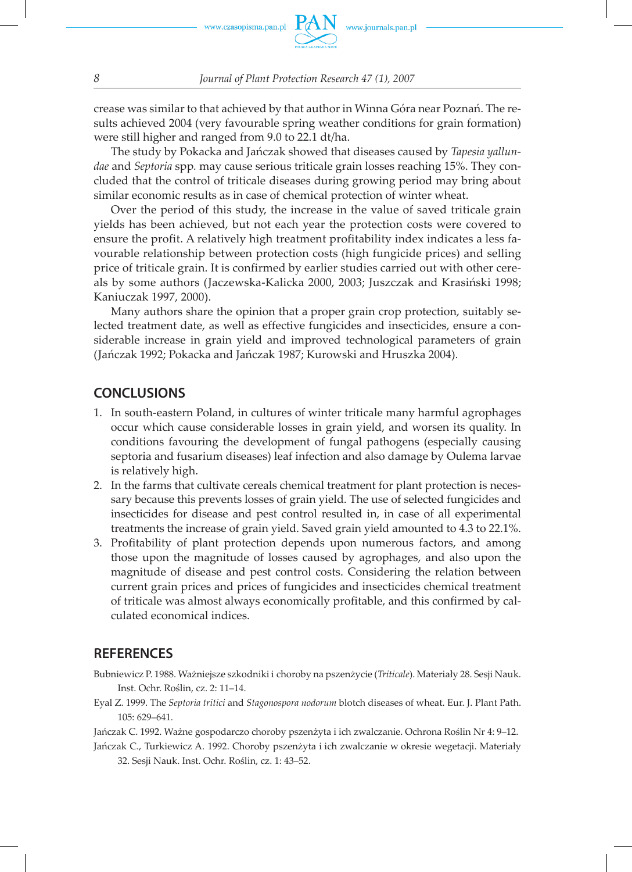crease was similar to that achieved by that author in Winna Góra near Poznań. The results achieved 2004 (very favourable spring weather conditions for grain formation) were still higher and ranged from 9.0 to 22.1 dt/ha.

The study by Pokacka and Jańczak showed that diseases caused by *Tapesia yallundae* and *Septoria* spp*.* may cause serious triticale grain losses reaching 15%. They concluded that the control of triticale diseases during growing period may bring about similar economic results as in case of chemical protection of winter wheat.

Over the period of this study, the increase in the value of saved triticale grain yields has been achieved, but not each year the protection costs were covered to ensure the profit. A relatively high treatment profitability index indicates a less favourable relationship between protection costs (high fungicide prices) and selling price of triticale grain. It is confirmed by earlier studies carried out with other cereals by some authors (Jaczewska-Kalicka 2000, 2003; Juszczak and Krasiński 1998; Kaniuczak 1997, 2000).

Many authors share the opinion that a proper grain crop protection, suitably selected treatment date, as well as effective fungicides and insecticides, ensure a considerable increase in grain yield and improved technological parameters of grain (Jańczak 1992; Pokacka and Jańczak 1987; Kurowski and Hruszka 2004).

## **CONCLUSIONS**

- 1. In south-eastern Poland, in cultures of winter triticale many harmful agrophages occur which cause considerable losses in grain yield, and worsen its quality. In conditions favouring the development of fungal pathogens (especially causing septoria and fusarium diseases) leaf infection and also damage by Oulema larvae is relatively high.
- 2. In the farms that cultivate cereals chemical treatment for plant protection is necessary because this prevents losses of grain yield. The use of selected fungicides and insecticides for disease and pest control resulted in, in case of all experimental treatments the increase of grain yield. Saved grain yield amounted to 4.3 to 22.1%.
- 3. Profitability of plant protection depends upon numerous factors, and among those upon the magnitude of losses caused by agrophages, and also upon the magnitude of disease and pest control costs. Considering the relation between current grain prices and prices of fungicides and insecticides chemical treatment of triticale was almost always economically profitable, and this confirmed by calculated economical indices.

### **REFERENCES**

- Bubniewicz P. 1988. Ważniejsze szkodniki i choroby na pszenżycie (*Triticale*). Materiały 28. Sesji Nauk. Inst. Ochr. Roślin, cz. 2: 11–14.
- Eyal Z. 1999. The *Septoria tritici* and *Stagonospora nodorum* blotch diseases of wheat. Eur. J. Plant Path. 105: 629–641.

Jańczak C. 1992. Ważne gospodarczo choroby pszenżyta i ich zwalczanie. Ochrona Roślin Nr 4: 9–12.

Jańczak C., Turkiewicz A. 1992. Choroby pszenżyta i ich zwalczanie w okresie wegetacji. Materiały 32. Sesji Nauk. Inst. Ochr. Roślin, cz. 1: 43–52.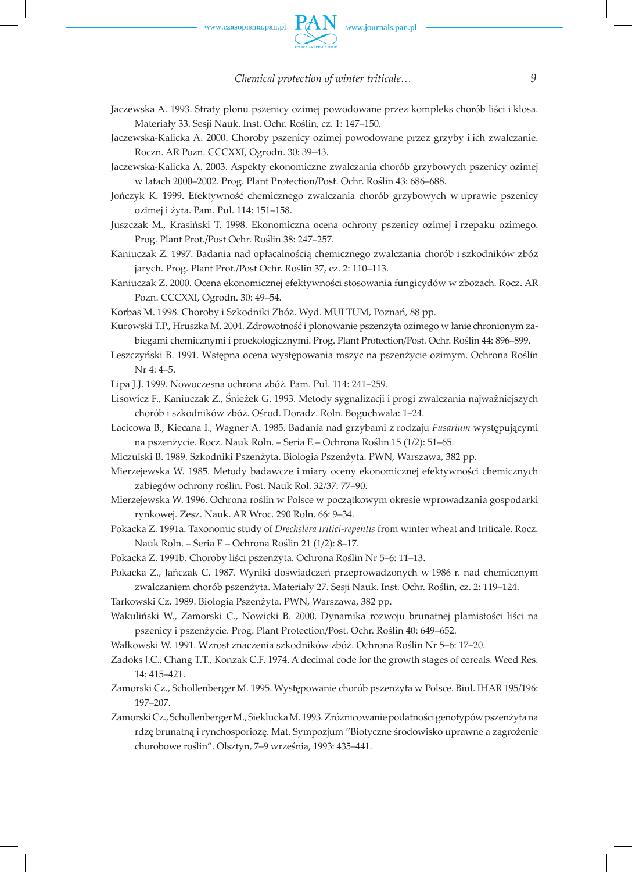

*Chemical protection of winter triticale… 9*

- Jaczewska A. 1993. Straty plonu pszenicy ozimej powodowane przez kompleks chorób liści i kłosa. Materiały 33. Sesji Nauk. Inst. Ochr. Roślin, cz. 1: 147–150.
- Jaczewska-Kalicka A. 2000. Choroby pszenicy ozimej powodowane przez grzyby i ich zwalczanie. Roczn. AR Pozn. CCCXXI, Ogrodn. 30: 39–43.

Jaczewska-Kalicka A. 2003. Aspekty ekonomiczne zwalczania chorób grzybowych pszenicy ozimej w latach 2000–2002. Prog. Plant Protection/Post. Ochr. Roślin 43: 686–688.

- Jończyk K. 1999. Efektywność chemicznego zwalczania chorób grzybowych w uprawie pszenicy ozimej i żyta. Pam. Puł. 114: 151–158.
- Juszczak M., Krasiński T. 1998. Ekonomiczna ocena ochrony pszenicy ozimej i rzepaku ozimego. Prog. Plant Prot./Post Ochr. Roślin 38: 247–257.

Kaniuczak Z. 1997. Badania nad opłacalnością chemicznego zwalczania chorób i szkodników zbóż jarych. Prog. Plant Prot./Post Ochr. Roślin 37, cz. 2: 110–113.

Kaniuczak Z. 2000. Ocena ekonomicznej efektywności stosowania fungicydów w zbożach. Rocz. AR Pozn. CCCXXI, Ogrodn. 30: 49–54.

Korbas M. 1998. Choroby i Szkodniki Zbóż. Wyd. MULTUM, Poznań, 88 pp.

- Kurowski T.P., Hruszka M. 2004. Zdrowotność i plonowanie pszenżyta ozimego w łanie chronionym zabiegami chemicznymi i proekologicznymi. Prog. Plant Protection/Post. Ochr. Roślin 44: 896–899.
- Leszczyński B. 1991. Wstępna ocena występowania mszyc na pszenżycie ozimym. Ochrona Roślin Nr 4: 4–5.
- Lipa J.J. 1999. Nowoczesna ochrona zbóż. Pam. Puł. 114: 241–259.
- Lisowicz F., Kaniuczak Z., Śnieżek G. 1993. Metody sygnalizacji i progi zwalczania najważniejszych chorób i szkodników zbóż. Ośrod. Doradz. Roln. Boguchwała: 1–24.
- Łacicowa B., Kiecana I., Wagner A. 1985. Badania nad grzybami z rodzaju *Fusarium* występującymi na pszenżycie. Rocz. Nauk Roln. – Seria E – Ochrona Roślin 15 (1/2): 51–65.
- Miczulski B. 1989. Szkodniki Pszenżyta. Biologia Pszenżyta. PWN, Warszawa, 382 pp.
- Mierzejewska W. 1985. Metody badawcze i miary oceny ekonomicznej efektywności chemicznych zabiegów ochrony roślin. Post. Nauk Rol. 32/37: 77–90.
- Mierzejewska W. 1996. Ochrona roślin w Polsce w początkowym okresie wprowadzania gospodarki rynkowej. Zesz. Nauk. AR Wroc. 290 Roln. 66: 9–34.
- Pokacka Z. 1991a. Taxonomic study of *Drechslera tritici-repentis* from winter wheat and triticale. Rocz. Nauk Roln. – Seria E – Ochrona Roślin 21 (1/2): 8–17.
- Pokacka Z. 1991b. Choroby liści pszenżyta. Ochrona Roślin Nr 5–6: 11–13.
- Pokacka Z., Jańczak C. 1987. Wyniki doświadczeń przeprowadzonych w 1986 r. nad chemicznym zwalczaniem chorób pszenżyta. Materiały 27. Sesji Nauk. Inst. Ochr. Roślin, cz. 2: 119–124.
- Tarkowski Cz. 1989. Biologia Pszenżyta. PWN, Warszawa, 382 pp.
- Wakuliński W., Zamorski C., Nowicki B. 2000. Dynamika rozwoju brunatnej plamistości liści na pszenicy i pszenżycie. Prog. Plant Protection/Post. Ochr. Roślin 40: 649–652.
- Wałkowski W. 1991. Wzrost znaczenia szkodników zbóż. Ochrona Roślin Nr 5–6: 17–20.
- Zadoks J.C., Chang T.T., Konzak C.F. 1974. A decimal code for the growth stages of cereals. Weed Res. 14: 415–421.
- Zamorski Cz., Schollenberger M. 1995. Występowanie chorób pszenżyta w Polsce. Biul. IHAR 195/196: 197–207.
- Zamorski Cz., Schollenberger M., Sieklucka M. 1993. Zróżnicowanie podatności genotypów pszenżyta na rdzę brunatną i rynchosporiozę. Mat. Sympozjum "Biotyczne środowisko uprawne a zagrożenie chorobowe roślin". Olsztyn, 7–9 września, 1993: 435–441.